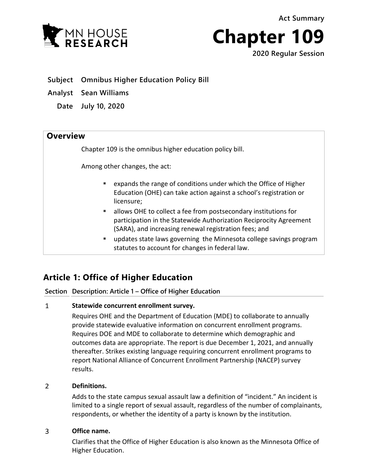**Act Summary**



**Chapter 109**

**2020 Regular Session**

- **Subject Omnibus Higher Education Policy Bill**
- **Analyst Sean Williams**
	- **Date July 10, 2020**

# **Overview**

Chapter 109 is the omnibus higher education policy bill.

Among other changes, the act:

- expands the range of conditions under which the Office of Higher Education (OHE) can take action against a school's registration or licensure;
- allows OHE to collect a fee from postsecondary institutions for participation in the Statewide Authorization Reciprocity Agreement (SARA), and increasing renewal registration fees; and
- updates state laws governing the Minnesota college savings program statutes to account for changes in federal law.

# **Article 1: Office of Higher Education**

**Section Description: Article 1 – Office of Higher Education**

#### $\mathbf{1}$ **Statewide concurrent enrollment survey.**

Requires OHE and the Department of Education (MDE) to collaborate to annually provide statewide evaluative information on concurrent enrollment programs. Requires DOE and MDE to collaborate to determine which demographic and outcomes data are appropriate. The report is due December 1, 2021, and annually thereafter. Strikes existing language requiring concurrent enrollment programs to report National Alliance of Concurrent Enrollment Partnership (NACEP) survey results.

#### $\overline{2}$ **Definitions.**

Adds to the state campus sexual assault law a definition of "incident." An incident is limited to a single report of sexual assault, regardless of the number of complainants, respondents, or whether the identity of a party is known by the institution.

#### $\overline{3}$ **Office name.**

Clarifies that the Office of Higher Education is also known as the Minnesota Office of Higher Education.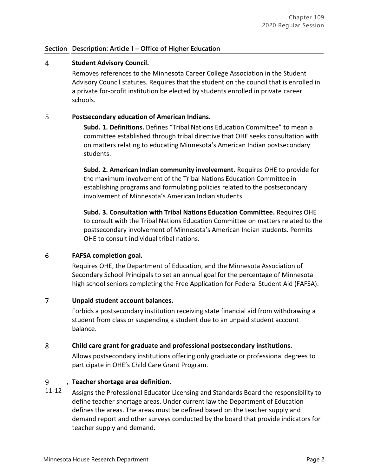# **Section Description: Article 1 – Office of Higher Education**

#### $\overline{4}$ **Student Advisory Council.**

Removes references to the Minnesota Career College Association in the Student Advisory Council statutes. Requires that the student on the council that is enrolled in a private for-profit institution be elected by students enrolled in private career schools.

#### 5 **Postsecondary education of American Indians.**

**Subd. 1. Definitions.** Defines "Tribal Nations Education Committee" to mean a committee established through tribal directive that OHE seeks consultation with on matters relating to educating Minnesota's American Indian postsecondary students.

**Subd. 2. American Indian community involvement.** Requires OHE to provide for the maximum involvement of the Tribal Nations Education Committee in establishing programs and formulating policies related to the postsecondary involvement of Minnesota's American Indian students.

**Subd. 3. Consultation with Tribal Nations Education Committee.** Requires OHE to consult with the Tribal Nations Education Committee on matters related to the postsecondary involvement of Minnesota's American Indian students. Permits OHE to consult individual tribal nations.

#### 6 **FAFSA completion goal.**

Requires OHE, the Department of Education, and the Minnesota Association of Secondary School Principals to set an annual goal for the percentage of Minnesota high school seniors completing the Free Application for Federal Student Aid (FAFSA).

#### $\overline{7}$ **Unpaid student account balances.**

Forbids a postsecondary institution receiving state financial aid from withdrawing a student from class or suspending a student due to an unpaid student account balance.

#### 8 **Child care grant for graduate and professional postsecondary institutions.**

Allows postsecondary institutions offering only graduate or professional degrees to participate in OHE's Child Care Grant Program.

#### 9 , **Teacher shortage area definition.**

11-12 Assigns the Professional Educator Licensing and Standards Board the responsibility to define teacher shortage areas. Under current law the Department of Education defines the areas. The areas must be defined based on the teacher supply and demand report and other surveys conducted by the board that provide indicators for teacher supply and demand.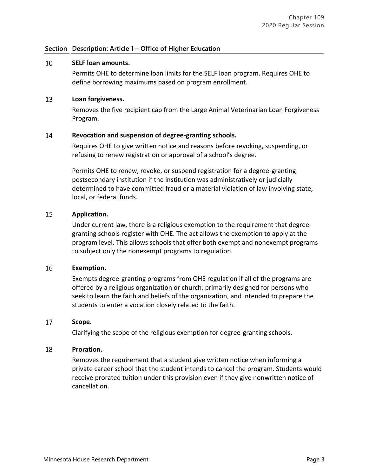# **Section Description: Article 1 – Office of Higher Education**

#### 10 **SELF loan amounts.**

Permits OHE to determine loan limits for the SELF loan program. Requires OHE to define borrowing maximums based on program enrollment.

#### 13 **Loan forgiveness.**

Removes the five recipient cap from the Large Animal Veterinarian Loan Forgiveness Program.

#### 14 **Revocation and suspension of degree-granting schools.**

Requires OHE to give written notice and reasons before revoking, suspending, or refusing to renew registration or approval of a school's degree.

Permits OHE to renew, revoke, or suspend registration for a degree-granting postsecondary institution if the institution was administratively or judicially determined to have committed fraud or a material violation of law involving state, local, or federal funds.

#### 15 **Application.**

Under current law, there is a religious exemption to the requirement that degreegranting schools register with OHE. The act allows the exemption to apply at the program level. This allows schools that offer both exempt and nonexempt programs to subject only the nonexempt programs to regulation.

#### 16 **Exemption.**

Exempts degree-granting programs from OHE regulation if all of the programs are offered by a religious organization or church, primarily designed for persons who seek to learn the faith and beliefs of the organization, and intended to prepare the students to enter a vocation closely related to the faith.

#### 17 **Scope.**

Clarifying the scope of the religious exemption for degree-granting schools.

#### 18 **Proration.**

Removes the requirement that a student give written notice when informing a private career school that the student intends to cancel the program. Students would receive prorated tuition under this provision even if they give nonwritten notice of cancellation.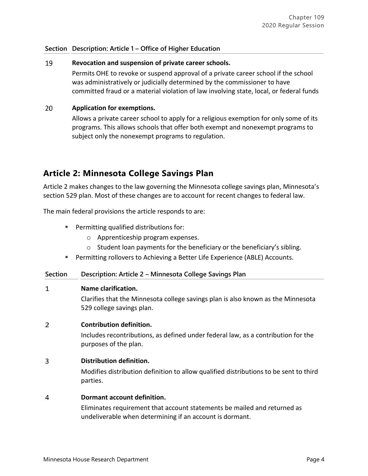# **Section Description: Article 1 – Office of Higher Education**

#### 19 **Revocation and suspension of private career schools.**

Permits OHE to revoke or suspend approval of a private career school if the school was administratively or judicially determined by the commissioner to have committed fraud or a material violation of law involving state, local, or federal funds

#### 20 **Application for exemptions.**

Allows a private career school to apply for a religious exemption for only some of its programs. This allows schools that offer both exempt and nonexempt programs to subject only the nonexempt programs to regulation.

# **Article 2: Minnesota College Savings Plan**

Article 2 makes changes to the law governing the Minnesota college savings plan, Minnesota's section 529 plan. Most of these changes are to account for recent changes to federal law.

The main federal provisions the article responds to are:

- **Permitting qualified distributions for:** 
	- o Apprenticeship program expenses.
	- o Student loan payments for the beneficiary or the beneficiary's sibling.
- Permitting rollovers to Achieving a Better Life Experience (ABLE) Accounts.

# **Section Description: Article 2 – Minnesota College Savings Plan**

#### $\mathbf{1}$ **Name clarification.**

Clarifies that the Minnesota college savings plan is also known as the Minnesota 529 college savings plan.

#### $\overline{2}$ **Contribution definition.**

Includes recontributions, as defined under federal law, as a contribution for the purposes of the plan.

#### 3 **Distribution definition.**

Modifies distribution definition to allow qualified distributions to be sent to third parties.

#### $\overline{4}$ **Dormant account definition.**

Eliminates requirement that account statements be mailed and returned as undeliverable when determining if an account is dormant.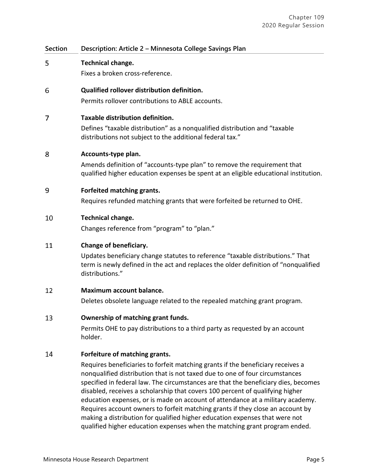| Section | Description: Article 2 - Minnesota College Savings Plan                                                                                                                                                                                                                                                                                                                                                                                                                                                                                                                                                                                                                                                   |
|---------|-----------------------------------------------------------------------------------------------------------------------------------------------------------------------------------------------------------------------------------------------------------------------------------------------------------------------------------------------------------------------------------------------------------------------------------------------------------------------------------------------------------------------------------------------------------------------------------------------------------------------------------------------------------------------------------------------------------|
| 5       | Technical change.<br>Fixes a broken cross-reference.                                                                                                                                                                                                                                                                                                                                                                                                                                                                                                                                                                                                                                                      |
| 6       | Qualified rollover distribution definition.<br>Permits rollover contributions to ABLE accounts.                                                                                                                                                                                                                                                                                                                                                                                                                                                                                                                                                                                                           |
| 7       | Taxable distribution definition.<br>Defines "taxable distribution" as a nonqualified distribution and "taxable<br>distributions not subject to the additional federal tax."                                                                                                                                                                                                                                                                                                                                                                                                                                                                                                                               |
| 8       | Accounts-type plan.<br>Amends definition of "accounts-type plan" to remove the requirement that<br>qualified higher education expenses be spent at an eligible educational institution.                                                                                                                                                                                                                                                                                                                                                                                                                                                                                                                   |
| 9       | Forfeited matching grants.<br>Requires refunded matching grants that were forfeited be returned to OHE.                                                                                                                                                                                                                                                                                                                                                                                                                                                                                                                                                                                                   |
| 10      | Technical change.<br>Changes reference from "program" to "plan."                                                                                                                                                                                                                                                                                                                                                                                                                                                                                                                                                                                                                                          |
| 11      | Change of beneficiary.<br>Updates beneficiary change statutes to reference "taxable distributions." That<br>term is newly defined in the act and replaces the older definition of "nonqualified<br>distributions."                                                                                                                                                                                                                                                                                                                                                                                                                                                                                        |
| 12      | Maximum account balance.<br>Deletes obsolete language related to the repealed matching grant program.                                                                                                                                                                                                                                                                                                                                                                                                                                                                                                                                                                                                     |
| 13      | Ownership of matching grant funds.<br>Permits OHE to pay distributions to a third party as requested by an account<br>holder.                                                                                                                                                                                                                                                                                                                                                                                                                                                                                                                                                                             |
| 14      | Forfeiture of matching grants.<br>Requires beneficiaries to forfeit matching grants if the beneficiary receives a<br>nonqualified distribution that is not taxed due to one of four circumstances<br>specified in federal law. The circumstances are that the beneficiary dies, becomes<br>disabled, receives a scholarship that covers 100 percent of qualifying higher<br>education expenses, or is made on account of attendance at a military academy.<br>Requires account owners to forfeit matching grants if they close an account by<br>making a distribution for qualified higher education expenses that were not<br>qualified higher education expenses when the matching grant program ended. |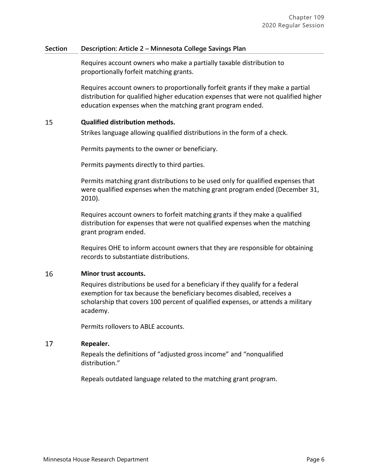## **Section Description: Article 2 – Minnesota College Savings Plan**

Requires account owners who make a partially taxable distribution to proportionally forfeit matching grants.

Requires account owners to proportionally forfeit grants if they make a partial distribution for qualified higher education expenses that were not qualified higher education expenses when the matching grant program ended.

#### 15 **Qualified distribution methods.**

Strikes language allowing qualified distributions in the form of a check.

Permits payments to the owner or beneficiary.

Permits payments directly to third parties.

Permits matching grant distributions to be used only for qualified expenses that were qualified expenses when the matching grant program ended (December 31, 2010).

Requires account owners to forfeit matching grants if they make a qualified distribution for expenses that were not qualified expenses when the matching grant program ended.

Requires OHE to inform account owners that they are responsible for obtaining records to substantiate distributions.

#### 16 **Minor trust accounts.**

Requires distributions be used for a beneficiary if they qualify for a federal exemption for tax because the beneficiary becomes disabled, receives a scholarship that covers 100 percent of qualified expenses, or attends a military academy.

Permits rollovers to ABLE accounts.

#### 17 **Repealer.**

Repeals the definitions of "adjusted gross income" and "nonqualified distribution."

Repeals outdated language related to the matching grant program.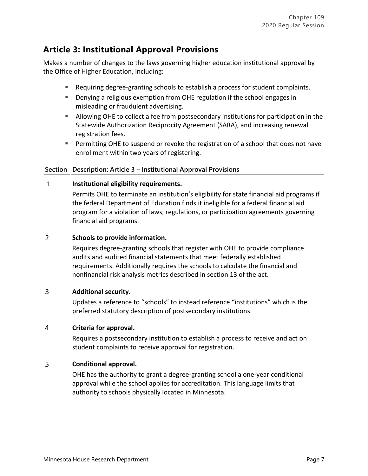# **Article 3: Institutional Approval Provisions**

Makes a number of changes to the laws governing higher education institutional approval by the Office of Higher Education, including:

- Requiring degree-granting schools to establish a process for student complaints.
- Denying a religious exemption from OHE regulation if the school engages in misleading or fraudulent advertising.
- Allowing OHE to collect a fee from postsecondary institutions for participation in the Statewide Authorization Reciprocity Agreement (SARA), and increasing renewal registration fees.
- **Permitting OHE to suspend or revoke the registration of a school that does not have** enrollment within two years of registering.

# **Section Description: Article 3 – Institutional Approval Provisions**

#### $\mathbf{1}$ **Institutional eligibility requirements.**

Permits OHE to terminate an institution's eligibility for state financial aid programs if the federal Department of Education finds it ineligible for a federal financial aid program for a violation of laws, regulations, or participation agreements governing financial aid programs.

#### $\overline{2}$ **Schools to provide information.**

Requires degree-granting schools that register with OHE to provide compliance audits and audited financial statements that meet federally established requirements. Additionally requires the schools to calculate the financial and nonfinancial risk analysis metrics described in section 13 of the act.

#### $\overline{3}$ **Additional security.**

Updates a reference to "schools" to instead reference "institutions" which is the preferred statutory description of postsecondary institutions.

#### $\overline{4}$ **Criteria for approval.**

Requires a postsecondary institution to establish a process to receive and act on student complaints to receive approval for registration.

#### 5 **Conditional approval.**

OHE has the authority to grant a degree-granting school a one-year conditional approval while the school applies for accreditation. This language limits that authority to schools physically located in Minnesota.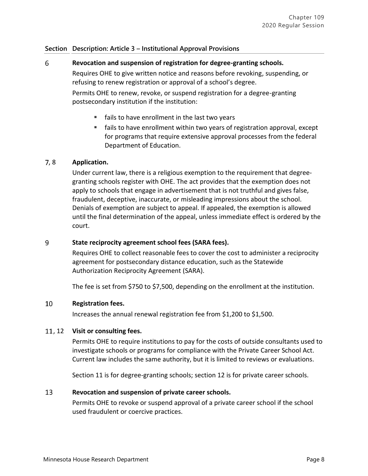# **Section Description: Article 3 – Institutional Approval Provisions**

#### 6 **Revocation and suspension of registration for degree-granting schools.**

Requires OHE to give written notice and reasons before revoking, suspending, or refusing to renew registration or approval of a school's degree.

Permits OHE to renew, revoke, or suspend registration for a degree-granting postsecondary institution if the institution:

- **fails to have enrollment in the last two years**
- fails to have enrollment within two years of registration approval, except for programs that require extensive approval processes from the federal Department of Education.

# , 8 **Application.**

Under current law, there is a religious exemption to the requirement that degreegranting schools register with OHE. The act provides that the exemption does not apply to schools that engage in advertisement that is not truthful and gives false, fraudulent, deceptive, inaccurate, or misleading impressions about the school. Denials of exemption are subject to appeal. If appealed, the exemption is allowed until the final determination of the appeal, unless immediate effect is ordered by the court.

#### 9 **State reciprocity agreement school fees (SARA fees).**

Requires OHE to collect reasonable fees to cover the cost to administer a reciprocity agreement for postsecondary distance education, such as the Statewide Authorization Reciprocity Agreement (SARA).

The fee is set from \$750 to \$7,500, depending on the enrollment at the institution.

#### 10 **Registration fees.**

Increases the annual renewal registration fee from \$1,200 to \$1,500.

# , 12 **Visit or consulting fees.**

Permits OHE to require institutions to pay for the costs of outside consultants used to investigate schools or programs for compliance with the Private Career School Act. Current law includes the same authority, but it is limited to reviews or evaluations.

Section 11 is for degree-granting schools; section 12 is for private career schools.

#### 13 **Revocation and suspension of private career schools.**

Permits OHE to revoke or suspend approval of a private career school if the school used fraudulent or coercive practices.